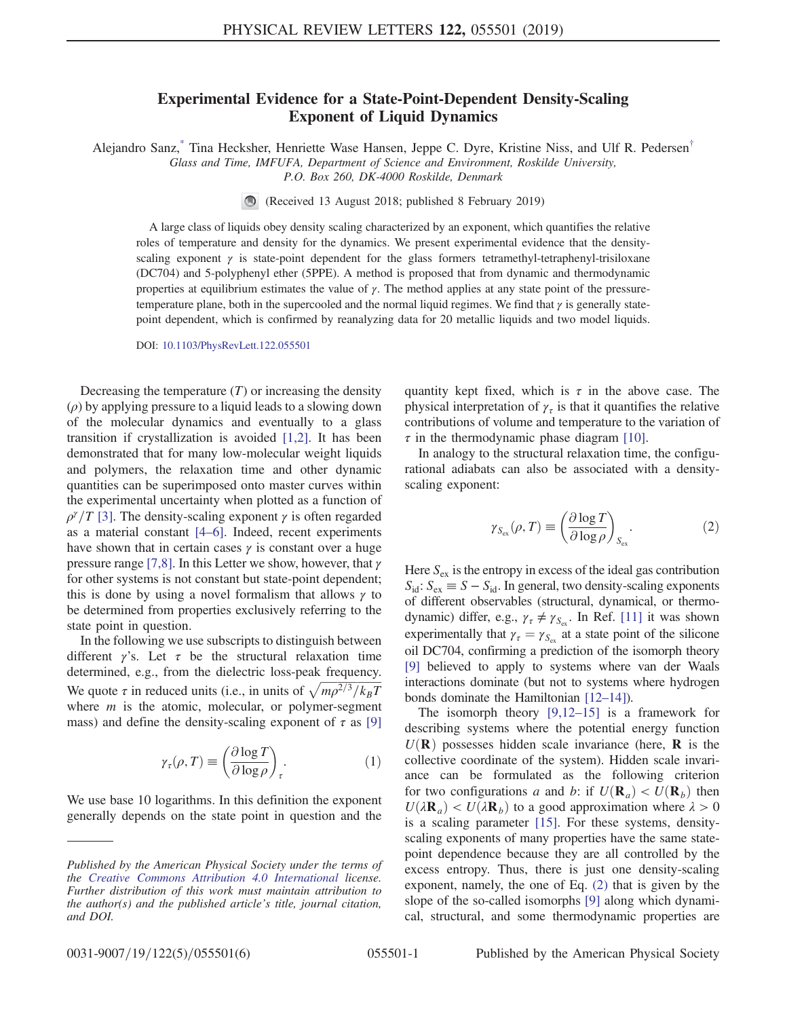## Experimental Evidence for a State-Point-Dependent Density-Scaling Exponent of Liquid Dynamics

<span id="page-0-2"></span>Alejandro Sanz,<sup>\*</sup> Tina Hecksher, Henriette Wase Hansen, Jeppe C. Dyre, Kristine Niss, and Ulf R. Pedersen<sup>[†](#page-4-1)</sup> Glass and Time, IMFUFA, Department of Science and Environment, Roskilde University,

P.O. Box 260, DK-4000 Roskilde, Denmark

(Received 13 August 2018; published 8 February 2019)

A large class of liquids obey density scaling characterized by an exponent, which quantifies the relative roles of temperature and density for the dynamics. We present experimental evidence that the densityscaling exponent  $\gamma$  is state-point dependent for the glass formers tetramethyl-tetraphenyl-trisiloxane (DC704) and 5-polyphenyl ether (5PPE). A method is proposed that from dynamic and thermodynamic properties at equilibrium estimates the value of  $\gamma$ . The method applies at any state point of the pressuretemperature plane, both in the supercooled and the normal liquid regimes. We find that  $\gamma$  is generally statepoint dependent, which is confirmed by reanalyzing data for 20 metallic liquids and two model liquids.

DOI: [10.1103/PhysRevLett.122.055501](https://doi.org/10.1103/PhysRevLett.122.055501)

Decreasing the temperature  $(T)$  or increasing the density  $(\rho)$  by applying pressure to a liquid leads to a slowing down of the molecular dynamics and eventually to a glass transition if crystallization is avoided [\[1,2\].](#page-4-2) It has been demonstrated that for many low-molecular weight liquids and polymers, the relaxation time and other dynamic quantities can be superimposed onto master curves within the experimental uncertainty when plotted as a function of  $\rho^{\gamma}/T$  [\[3\].](#page-4-3) The density-scaling exponent  $\gamma$  is often regarded as a material constant [4–[6\]](#page-4-4). Indeed, recent experiments have shown that in certain cases  $\gamma$  is constant over a huge pressure range [\[7,8\]](#page-4-5). In this Letter we show, however, that  $\gamma$ for other systems is not constant but state-point dependent; this is done by using a novel formalism that allows  $\gamma$  to be determined from properties exclusively referring to the state point in question.

<span id="page-0-1"></span>In the following we use subscripts to distinguish between different  $\gamma$ 's. Let  $\tau$  be the structural relaxation time determined, e.g., from the dielectric loss-peak frequency. determined, e.g., from the dielectric loss-peak frequency.<br>We quote  $\tau$  in reduced units (i.e., in units of  $\sqrt{m\rho^{2/3}/k_BT}$ <br>where *m* is the atomic molecular or polymer-segment where  $m$  is the atomic, molecular, or polymer-segment mass) and define the density-scaling exponent of  $\tau$  as [\[9\]](#page-4-6)

$$
\gamma_{\tau}(\rho, T) \equiv \left(\frac{\partial \log T}{\partial \log \rho}\right)_{\tau}.
$$
 (1)

We use base 10 logarithms. In this definition the exponent generally depends on the state point in question and the quantity kept fixed, which is  $\tau$  in the above case. The physical interpretation of  $\gamma_{\tau}$  is that it quantifies the relative contributions of volume and temperature to the variation of  $\tau$  in the thermodynamic phase diagram [\[10\]](#page-4-7).

<span id="page-0-0"></span>In analogy to the structural relaxation time, the configurational adiabats can also be associated with a densityscaling exponent:

$$
\gamma_{S_{\text{ex}}}(\rho, T) \equiv \left(\frac{\partial \log T}{\partial \log \rho}\right)_{S_{\text{ex}}}.
$$
 (2)

Here  $S_{\text{ex}}$  is the entropy in excess of the ideal gas contribution  $S_{\text{id}}$ :  $S_{\text{ex}} \equiv S - S_{\text{id}}$ . In general, two density-scaling exponents of different observables (structural, dynamical, or thermodynamic) differ, e.g.,  $\gamma_{\tau} \neq \gamma_{S_{\text{ex}}}.$  In Ref. [\[11\]](#page-4-8) it was shown experimentally that  $\gamma_{\tau} = \gamma_{S_{\text{ex}}}$  at a state point of the silicone oil DC704, confirming a prediction of the isomorph theory [\[9\]](#page-4-6) believed to apply to systems where van der Waals interactions dominate (but not to systems where hydrogen bonds dominate the Hamiltonian [\[12](#page-4-9)–14]).

The isomorph theory [\[9,12](#page-4-6)–15] is a framework for describing systems where the potential energy function  $U(\mathbf{R})$  possesses hidden scale invariance (here, **R** is the collective coordinate of the system). Hidden scale invariance can be formulated as the following criterion for two configurations a and b: if  $U(\mathbf{R}_a) < U(\mathbf{R}_b)$  then  $U(\lambda \mathbf{R}_{a}) < U(\lambda \mathbf{R}_{b})$  to a good approximation where  $\lambda > 0$ is a scaling parameter [\[15\].](#page-4-10) For these systems, densityscaling exponents of many properties have the same statepoint dependence because they are all controlled by the excess entropy. Thus, there is just one density-scaling exponent, namely, the one of Eq. [\(2\)](#page-0-0) that is given by the slope of the so-called isomorphs [\[9\]](#page-4-6) along which dynamical, structural, and some thermodynamic properties are

Published by the American Physical Society under the terms of the [Creative Commons Attribution 4.0 International](https://creativecommons.org/licenses/by/4.0/) license. Further distribution of this work must maintain attribution to the author(s) and the published article's title, journal citation, and DOI.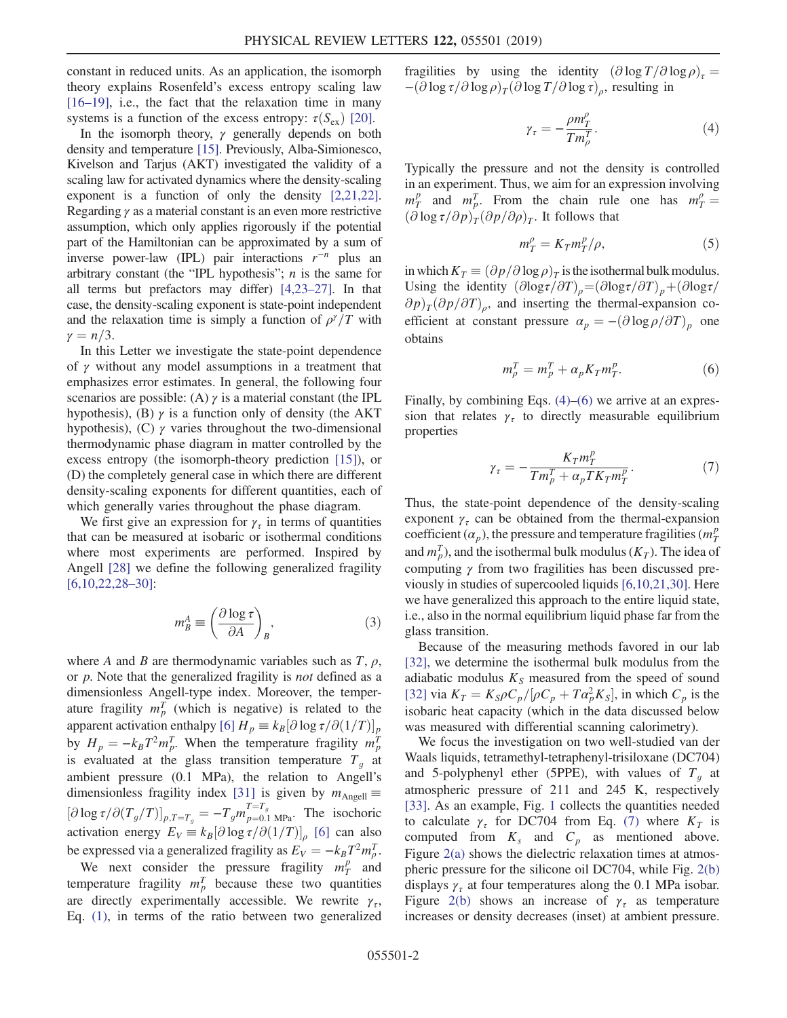constant in reduced units. As an application, the isomorph theory explains Rosenfeld's excess entropy scaling law [\[16](#page-4-11)–19], i.e., the fact that the relaxation time in many systems is a function of the excess entropy:  $\tau(S_{ex})$  [\[20\].](#page-4-12)

In the isomorph theory,  $\gamma$  generally depends on both density and temperature [\[15\]](#page-4-10). Previously, Alba-Simionesco, Kivelson and Tarjus (AKT) investigated the validity of a scaling law for activated dynamics where the density-scaling exponent is a function of only the density [\[2,21,22\]](#page-4-13). Regarding  $\gamma$  as a material constant is an even more restrictive assumption, which only applies rigorously if the potential part of the Hamiltonian can be approximated by a sum of inverse power-law (IPL) pair interactions  $r^{-n}$  plus an arbitrary constant (the "IPL hypothesis";  $n$  is the same for all terms but prefactors may differ) [\[4,23](#page-4-4)–27]. In that case, the density-scaling exponent is state-point independent and the relaxation time is simply a function of  $\rho^{\gamma}/T$  with  $\gamma = n/3$ .

In this Letter we investigate the state-point dependence of  $\gamma$  without any model assumptions in a treatment that emphasizes error estimates. In general, the following four scenarios are possible: (A)  $\gamma$  is a material constant (the IPL hypothesis), (B)  $\gamma$  is a function only of density (the AKT hypothesis), (C)  $\gamma$  varies throughout the two-dimensional thermodynamic phase diagram in matter controlled by the excess entropy (the isomorph-theory prediction [\[15\]\)](#page-4-10), or (D) the completely general case in which there are different density-scaling exponents for different quantities, each of which generally varies throughout the phase diagram.

<span id="page-1-3"></span>We first give an expression for  $\gamma_{\tau}$  in terms of quantities that can be measured at isobaric or isothermal conditions where most experiments are performed. Inspired by Angell [\[28\]](#page-5-0) we define the following generalized fragility [\[6,10,22,28](#page-4-14)–30]:

$$
m_B^A \equiv \left(\frac{\partial \log \tau}{\partial A}\right)_B, \tag{3}
$$

where A and B are thermodynamic variables such as T,  $\rho$ , or *p*. Note that the generalized fragility is *not* defined as a dimensionless Angell-type index. Moreover, the temperature fragility  $m_p^T$  (which is negative) is related to the<br>apparent activation enthalpy  $[6] H = k \left[ \frac{\partial \log \tau}{\partial (1/T)} \right]$ apparent activation enthalpy [\[6\]](#page-4-14)  $H_p \equiv k_B \left[\partial \log \tau / \partial (1/T)\right]_p$ by  $H_p = -k_B T^2 m_p^T$ . When the temperature fragility  $m_p^T$ <br>is evaluated at the glass transition temperature  $T$  at is evaluated at the glass transition temperature  $T_g$  at amplient pressure (0.1 MPa), the relation to Angell's ambient pressure (0.1 MPa), the relation to Angell's dimensionless fragility index [\[31\]](#page-5-1) is given by  $m_{\text{Angel}} \equiv$  $[\partial \log \tau / \partial (T_g/T)]_{p,T=T_g} = -T_g m_{p=0.1 \text{ MPa}}^{1=1_g}$ . The isochoric activation energy  $E_V \equiv k_B [\partial \log \tau / \partial (1/T)]_\rho$  [\[6\]](#page-4-14) can also be expressed via a generalized fragility as  $E_V = -k_B T^2 m_D^T$ .<br>We next, consider the pressure fragility  $m_P^P$  and

We next consider the pressure fragility  $m_T^p$  and<br>nperature fragility  $m^T$  because these two quantities temperature fragility  $m_p^T$  because these two quantities<br>are directly experimentally accessible. We rewrite x are directly experimentally accessible. We rewrite  $\gamma_{\tau}$ , Eq. [\(1\)](#page-0-1), in terms of the ratio between two generalized

<span id="page-1-0"></span>fragilities by using the identity  $(\partial \log T/\partial \log \rho)_\tau$  =  $-(\partial \log \tau/\partial \log \rho)_T(\partial \log T/\partial \log \tau)_{\rho}$ , resulting in

$$
\gamma_{\tau} = -\frac{\rho m_T^{\rho}}{T m_{\rho}^T}.
$$
\n(4)

Typically the pressure and not the density is controlled in an experiment. Thus, we aim for an expression involving  $m_T^p$  and  $m_P^T$ . From the chain rule one has  $m_T^{\rho} =$ <br>(alog  $\tau/\partial p$ ) (an/a) It follows that  $(\partial \log \tau/\partial p)_T (\partial p/\partial \rho)_T$ . It follows that

$$
m_T^{\rho} = K_T m_T^{\rho} / \rho, \qquad (5)
$$

<span id="page-1-1"></span>in which  $K_T \equiv (\partial p/\partial \log \rho)_T$  is the isothermal bulk modulus. Using the identity  $(\partial \log \tau / \partial T)_{\rho} = (\partial \log \tau / \partial T)_{p} + (\partial \log \tau / \partial T)_{p}$  $\partial p_T(\partial p/\partial T)_{\rho}$ , and inserting the thermal-expansion coefficient at constant pressure  $\alpha_p = -(\partial \log \rho/\partial T)_p$  one obtains

$$
m_{\rho}^T = m_P^T + \alpha_p K_T m_T^p. \tag{6}
$$

<span id="page-1-2"></span>Finally, by combining Eqs. [\(4\)](#page-1-0)–[\(6\)](#page-1-1) we arrive at an expression that relates  $\gamma_{\tau}$  to directly measurable equilibrium properties

$$
\gamma_{\tau} = -\frac{K_T m_T^p}{T m_P^T + \alpha_p T K_T m_T^p}.\tag{7}
$$

Thus, the state-point dependence of the density-scaling exponent  $\gamma_{\tau}$  can be obtained from the thermal-expansion coefficient  $(\alpha_p)$ , the pressure and temperature fragilities  $(m_T^p)$ and  $m_p^T$ ), and the isothermal bulk modulus  $(K_T)$ . The idea of computing  $\alpha$  from two fracilities has been discussed are computing γ from two fragilities has been discussed previously in studies of supercooled liquids [\[6,10,21,30\]](#page-4-14). Here we have generalized this approach to the entire liquid state, i.e., also in the normal equilibrium liquid phase far from the glass transition.

Because of the measuring methods favored in our lab [\[32\]](#page-5-2), we determine the isothermal bulk modulus from the adiabatic modulus  $K<sub>S</sub>$  measured from the speed of sound [\[32\]](#page-5-2) via  $K_T = K_S \rho C_p / [\rho C_p + T \alpha_p^2 K_S]$ , in which  $C_p$  is the isoberic heat capacity (which in the data discussed below isobaric heat capacity (which in the data discussed below was measured with differential scanning calorimetry).

We focus the investigation on two well-studied van der Waals liquids, tetramethyl-tetraphenyl-trisiloxane (DC704) and 5-polyphenyl ether (5PPE), with values of  $T<sub>q</sub>$  at atmospheric pressure of 211 and 245 K, respectively [\[33\]](#page-5-3). As an example, Fig. [1](#page-2-0) collects the quantities needed to calculate  $\gamma_{\tau}$  for DC704 from Eq. [\(7\)](#page-1-2) where  $K_T$  is computed from  $K_s$  and  $C_p$  as mentioned above. Figure [2\(a\)](#page-2-1) shows the dielectric relaxation times at atmospheric pressure for the silicone oil DC704, while Fig. [2\(b\)](#page-2-1) displays  $\gamma_{\tau}$  at four temperatures along the 0.1 MPa isobar. Figure [2\(b\)](#page-2-1) shows an increase of  $\gamma_{\tau}$  as temperature increases or density decreases (inset) at ambient pressure.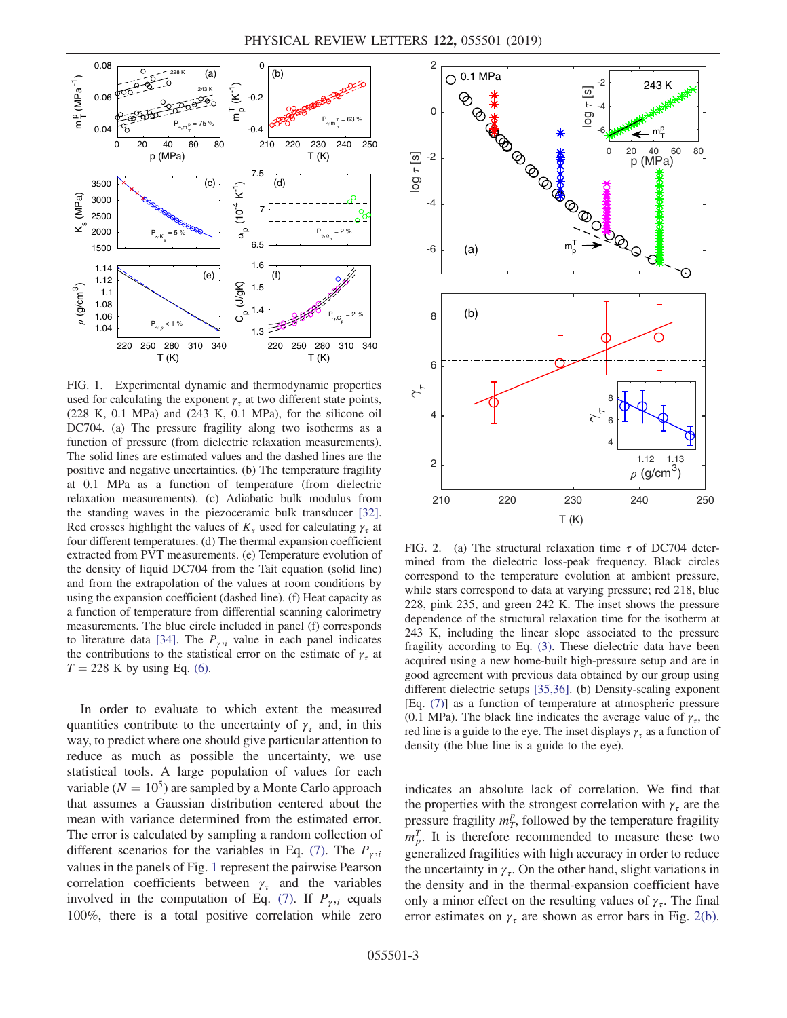<span id="page-2-0"></span>

FIG. 1. Experimental dynamic and thermodynamic properties used for calculating the exponent  $\gamma_{\tau}$  at two different state points,  $(228 K, 0.1 MPa)$  and  $(243 K, 0.1 MPa)$ , for the silicone oil DC704. (a) The pressure fragility along two isotherms as a function of pressure (from dielectric relaxation measurements). The solid lines are estimated values and the dashed lines are the positive and negative uncertainties. (b) The temperature fragility at 0.1 MPa as a function of temperature (from dielectric relaxation measurements). (c) Adiabatic bulk modulus from the standing waves in the piezoceramic bulk transducer [\[32\].](#page-5-2) Red crosses highlight the values of  $K_s$  used for calculating  $\gamma_{\tau}$  at four different temperatures. (d) The thermal expansion coefficient extracted from PVT measurements. (e) Temperature evolution of the density of liquid DC704 from the Tait equation (solid line) and from the extrapolation of the values at room conditions by using the expansion coefficient (dashed line). (f) Heat capacity as a function of temperature from differential scanning calorimetry measurements. The blue circle included in panel (f) corresponds to literature data [\[34\]](#page-5-4). The  $P_{\gamma i}$  value in each panel indicates the contributions to the statistical error on the estimate of  $\gamma_{\tau}$  at  $T = 228$  K by using Eq. [\(6\)](#page-1-1).

In order to evaluate to which extent the measured quantities contribute to the uncertainty of  $\gamma_{\tau}$  and, in this way, to predict where one should give particular attention to reduce as much as possible the uncertainty, we use statistical tools. A large population of values for each variable ( $N = 10<sup>5</sup>$ ) are sampled by a Monte Carlo approach that assumes a Gaussian distribution centered about the mean with variance determined from the estimated error. The error is calculated by sampling a random collection of different scenarios for the variables in Eq. [\(7\).](#page-1-2) The  $P_{\gamma i}$ values in the panels of Fig. [1](#page-2-0) represent the pairwise Pearson correlation coefficients between  $\gamma_{\tau}$  and the variables involved in the computation of Eq. [\(7\)](#page-1-2). If  $P_{\gamma i}$  equals 100%, there is a total positive correlation while zero

<span id="page-2-1"></span>

FIG. 2. (a) The structural relaxation time  $\tau$  of DC704 determined from the dielectric loss-peak frequency. Black circles correspond to the temperature evolution at ambient pressure, while stars correspond to data at varying pressure; red 218, blue 228, pink 235, and green 242 K. The inset shows the pressure dependence of the structural relaxation time for the isotherm at 243 K, including the linear slope associated to the pressure fragility according to Eq. [\(3\)](#page-1-3). These dielectric data have been acquired using a new home-built high-pressure setup and are in good agreement with previous data obtained by our group using different dielectric setups [\[35,36\]](#page-5-5). (b) Density-scaling exponent [Eq. [\(7\)\]](#page-1-2) as a function of temperature at atmospheric pressure (0.1 MPa). The black line indicates the average value of  $\gamma_{\tau}$ , the red line is a guide to the eye. The inset displays  $\gamma_{\tau}$  as a function of density (the blue line is a guide to the eye).

indicates an absolute lack of correlation. We find that the properties with the strongest correlation with  $\gamma_{\tau}$  are the pressure fragility  $m_T^p$ , followed by the temperature fragility  $m_T^T$ . It is therefore recommended to measure these two  $m_{p}^{T}$ . It is therefore recommended to measure these two<br>generalized fracilities with high accuracy in order to reduce generalized fragilities with high accuracy in order to reduce the uncertainty in  $\gamma_{\tau}$ . On the other hand, slight variations in the density and in the thermal-expansion coefficient have only a minor effect on the resulting values of  $\gamma_{\tau}$ . The final error estimates on  $\gamma_{\tau}$  are shown as error bars in Fig. [2\(b\)](#page-2-1).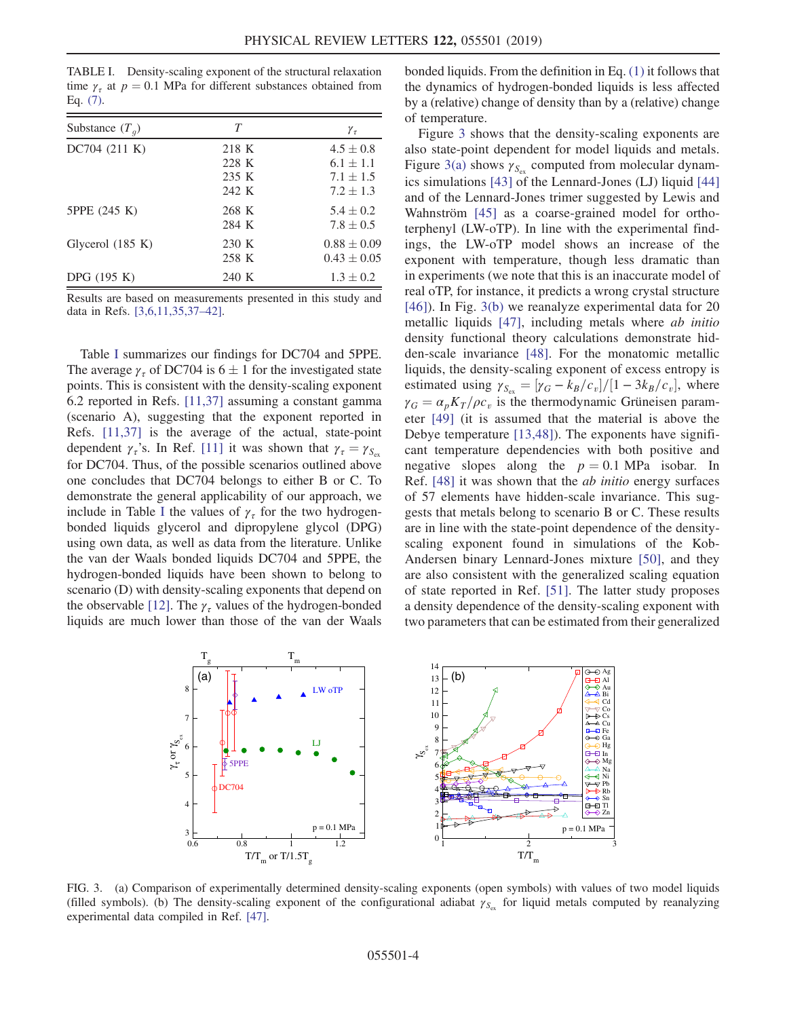<span id="page-3-0"></span>TABLE I. Density-scaling exponent of the structural relaxation time  $\gamma_{\tau}$  at  $p = 0.1$  MPa for different substances obtained from Eq. [\(7\)](#page-1-2).

| Substance $(T_a)$  | T     | $\gamma_{\tau}$ |
|--------------------|-------|-----------------|
| DC704 (211 K)      | 218 K | $4.5 \pm 0.8$   |
|                    | 228 K | $6.1 \pm 1.1$   |
|                    | 235 K | $7.1 \pm 1.5$   |
|                    | 242 K | $7.2 \pm 1.3$   |
| 5PPE (245 K)       | 268 K | $5.4 \pm 0.2$   |
|                    | 284 K | $7.8 \pm 0.5$   |
| Glycerol $(185 K)$ | 230 K | $0.88 \pm 0.09$ |
|                    | 258 K | $0.43 \pm 0.05$ |
| DPG (195 K)        | 240 K | $1.3 \pm 0.2$   |

Results are based on measurements presented in this study and data in Refs. [\[3,6,11,35,37](#page-4-3)–42].

Table [I](#page-3-0) summarizes our findings for DC704 and 5PPE. The average  $\gamma_{\tau}$  of DC704 is 6  $\pm$  1 for the investigated state points. This is consistent with the density-scaling exponent 6.2 reported in Refs. [\[11,37\]](#page-4-8) assuming a constant gamma (scenario A), suggesting that the exponent reported in Refs. [\[11,37\]](#page-4-8) is the average of the actual, state-point dependent  $\gamma_{\tau}$ 's. In Ref. [\[11\]](#page-4-8) it was shown that  $\gamma_{\tau} = \gamma_{S_{\infty}}$ for DC704. Thus, of the possible scenarios outlined above one concludes that DC704 belongs to either B or C. To demonstrate the general applicability of our approach, we include in Table [I](#page-3-0) the values of  $\gamma_{\tau}$  for the two hydrogenbonded liquids glycerol and dipropylene glycol (DPG) using own data, as well as data from the literature. Unlike the van der Waals bonded liquids DC704 and 5PPE, the hydrogen-bonded liquids have been shown to belong to scenario (D) with density-scaling exponents that depend on the observable [\[12\]](#page-4-9). The  $\gamma_{\tau}$  values of the hydrogen-bonded liquids are much lower than those of the van der Waals bonded liquids. From the definition in Eq. [\(1\)](#page-0-1) it follows that the dynamics of hydrogen-bonded liquids is less affected by a (relative) change of density than by a (relative) change of temperature.

Figure [3](#page-3-1) shows that the density-scaling exponents are also state-point dependent for model liquids and metals. Figure [3\(a\)](#page-3-1) shows  $\gamma_{S_{\rm ex}}$  computed from molecular dynamics simulations [\[43\]](#page-5-6) of the Lennard-Jones (LJ) liquid [\[44\]](#page-5-7) and of the Lennard-Jones trimer suggested by Lewis and Wahnström [\[45\]](#page-5-8) as a coarse-grained model for orthoterphenyl (LW-oTP). In line with the experimental findings, the LW-oTP model shows an increase of the exponent with temperature, though less dramatic than in experiments (we note that this is an inaccurate model of real oTP, for instance, it predicts a wrong crystal structure [\[46\]\)](#page-5-9). In Fig. [3\(b\)](#page-3-1) we reanalyze experimental data for 20 metallic liquids [\[47\],](#page-5-10) including metals where ab initio density functional theory calculations demonstrate hidden-scale invariance [\[48\].](#page-5-11) For the monatomic metallic liquids, the density-scaling exponent of excess entropy is estimated using  $\gamma_{S_{\text{ex}}} = [\gamma_G - k_B/c_v]/[1 - 3k_B/c_v]$ , where  $\gamma_G = \alpha_p K_T/\rho c_v$  is the thermodynamic Grüneisen param-<br>eter [40] (it is assumed that the material is above the eter [\[49\]](#page-5-12) (it is assumed that the material is above the Debye temperature [\[13,48\]\)](#page-4-15). The exponents have significant temperature dependencies with both positive and negative slopes along the  $p = 0.1$  MPa isobar. In Ref. [\[48\]](#page-5-11) it was shown that the ab initio energy surfaces of 57 elements have hidden-scale invariance. This suggests that metals belong to scenario B or C. These results are in line with the state-point dependence of the densityscaling exponent found in simulations of the Kob-Andersen binary Lennard-Jones mixture [\[50\],](#page-5-13) and they are also consistent with the generalized scaling equation of state reported in Ref. [\[51\]](#page-5-14). The latter study proposes a density dependence of the density-scaling exponent with two parameters that can be estimated from their generalized

<span id="page-3-1"></span>

FIG. 3. (a) Comparison of experimentally determined density-scaling exponents (open symbols) with values of two model liquids (filled symbols). (b) The density-scaling exponent of the configurational adiabat  $\gamma_{S_{\alpha}}$  for liquid metals computed by reanalyzing experimental data compiled in Ref. [\[47\]](#page-5-10).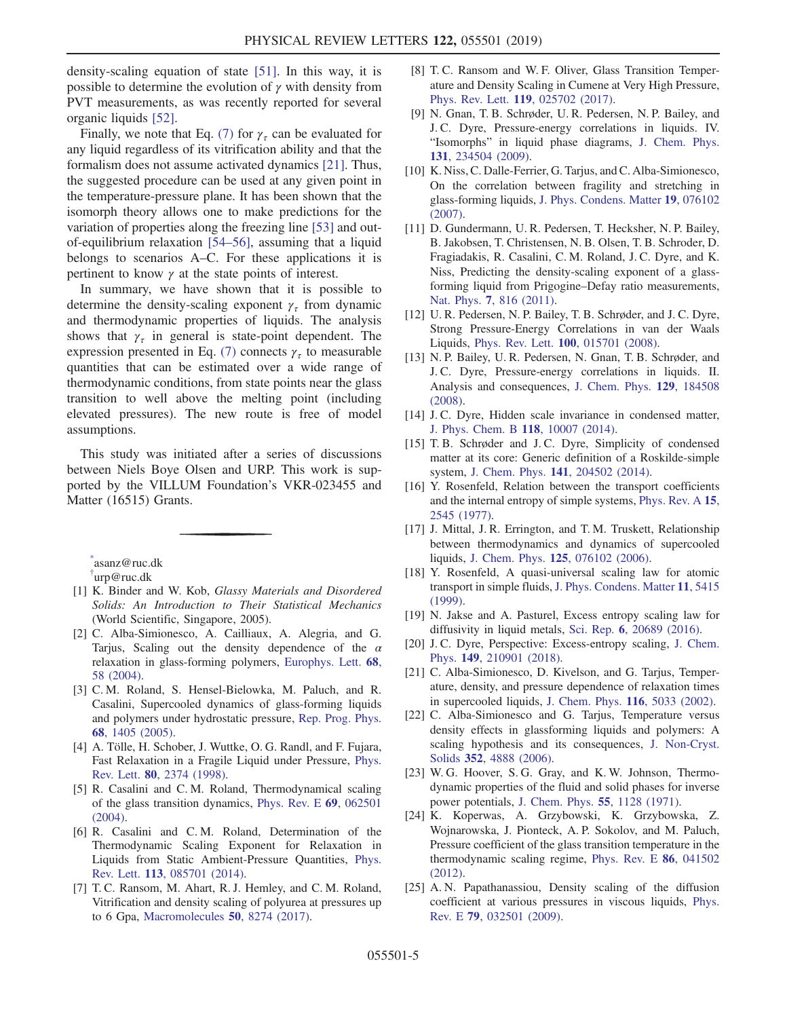density-scaling equation of state [\[51\]](#page-5-14). In this way, it is possible to determine the evolution of  $\gamma$  with density from PVT measurements, as was recently reported for several organic liquids [\[52\].](#page-5-15)

Finally, we note that Eq. [\(7\)](#page-1-2) for  $\gamma_{\tau}$  can be evaluated for any liquid regardless of its vitrification ability and that the formalism does not assume activated dynamics [\[21\]](#page-4-16). Thus, the suggested procedure can be used at any given point in the temperature-pressure plane. It has been shown that the isomorph theory allows one to make predictions for the variation of properties along the freezing line [\[53\]](#page-5-16) and outof-equilibrium relaxation [54–[56\],](#page-5-17) assuming that a liquid belongs to scenarios A–C. For these applications it is pertinent to know  $\gamma$  at the state points of interest.

In summary, we have shown that it is possible to determine the density-scaling exponent  $\gamma_{\tau}$  from dynamic and thermodynamic properties of liquids. The analysis shows that  $\gamma_{\tau}$  in general is state-point dependent. The expression presented in Eq. [\(7\)](#page-1-2) connects  $\gamma_{\tau}$  to measurable quantities that can be estimated over a wide range of thermodynamic conditions, from state points near the glass transition to well above the melting point (including elevated pressures). The new route is free of model assumptions.

This study was initiated after a series of discussions between Niels Boye Olsen and URP. This work is supported by the VILLUM Foundation's VKR-023455 and Matter (16515) Grants.

<span id="page-4-1"></span><span id="page-4-0"></span>[\\*](#page-0-2) asanz@ruc.dk [†](#page-0-2) urp@ruc.dk

- <span id="page-4-2"></span>[1] K. Binder and W. Kob, Glassy Materials and Disordered Solids: An Introduction to Their Statistical Mechanics (World Scientific, Singapore, 2005).
- <span id="page-4-13"></span>[2] C. Alba-Simionesco, A. Cailliaux, A. Alegria, and G. Tarjus, Scaling out the density dependence of the  $\alpha$ relaxation in glass-forming polymers, [Europhys. Lett.](https://doi.org/10.1209/epl/i2004-10214-6) 68, [58 \(2004\).](https://doi.org/10.1209/epl/i2004-10214-6)
- <span id="page-4-3"></span>[3] C. M. Roland, S. Hensel-Bielowka, M. Paluch, and R. Casalini, Supercooled dynamics of glass-forming liquids and polymers under hydrostatic pressure, [Rep. Prog. Phys.](https://doi.org/10.1088/0034-4885/68/6/R03) 68[, 1405 \(2005\)](https://doi.org/10.1088/0034-4885/68/6/R03).
- <span id="page-4-4"></span>[4] A. Tölle, H. Schober, J. Wuttke, O. G. Randl, and F. Fujara, Fast Relaxation in a Fragile Liquid under Pressure, [Phys.](https://doi.org/10.1103/PhysRevLett.80.2374) Rev. Lett. 80[, 2374 \(1998\)](https://doi.org/10.1103/PhysRevLett.80.2374).
- <span id="page-4-14"></span>[5] R. Casalini and C. M. Roland, Thermodynamical scaling of the glass transition dynamics, [Phys. Rev. E](https://doi.org/10.1103/PhysRevE.69.062501) 69, 062501 [\(2004\).](https://doi.org/10.1103/PhysRevE.69.062501)
- [6] R. Casalini and C. M. Roland, Determination of the Thermodynamic Scaling Exponent for Relaxation in Liquids from Static Ambient-Pressure Quantities, [Phys.](https://doi.org/10.1103/PhysRevLett.113.085701) Rev. Lett. 113[, 085701 \(2014\).](https://doi.org/10.1103/PhysRevLett.113.085701)
- <span id="page-4-5"></span>[7] T. C. Ransom, M. Ahart, R. J. Hemley, and C. M. Roland, Vitrification and density scaling of polyurea at pressures up to 6 Gpa, [Macromolecules](https://doi.org/10.1021/acs.macromol.7b01676) 50, 8274 (2017).
- [8] T. C. Ransom and W. F. Oliver, Glass Transition Temperature and Density Scaling in Cumene at Very High Pressure, Phys. Rev. Lett. 119[, 025702 \(2017\).](https://doi.org/10.1103/PhysRevLett.119.025702)
- <span id="page-4-6"></span>[9] N. Gnan, T. B. Schrøder, U. R. Pedersen, N. P. Bailey, and J. C. Dyre, Pressure-energy correlations in liquids. IV. "Isomorphs" in liquid phase diagrams, [J. Chem. Phys.](https://doi.org/10.1063/1.3265957) 131[, 234504 \(2009\).](https://doi.org/10.1063/1.3265957)
- <span id="page-4-7"></span>[10] K. Niss, C. Dalle-Ferrier, G. Tarjus, and C. Alba-Simionesco, On the correlation between fragility and stretching in glass-forming liquids, [J. Phys. Condens. Matter](https://doi.org/10.1088/0953-8984/19/7/076102) 19, 076102 [\(2007\).](https://doi.org/10.1088/0953-8984/19/7/076102)
- <span id="page-4-8"></span>[11] D. Gundermann, U. R. Pedersen, T. Hecksher, N. P. Bailey, B. Jakobsen, T. Christensen, N. B. Olsen, T. B. Schroder, D. Fragiadakis, R. Casalini, C. M. Roland, J. C. Dyre, and K. Niss, Predicting the density-scaling exponent of a glassforming liquid from Prigogine–Defay ratio measurements, Nat. Phys. 7[, 816 \(2011\)](https://doi.org/10.1038/nphys2031).
- <span id="page-4-9"></span>[12] U. R. Pedersen, N. P. Bailey, T. B. Schrøder, and J. C. Dyre, Strong Pressure-Energy Correlations in van der Waals Liquids, Phys. Rev. Lett. 100[, 015701 \(2008\)](https://doi.org/10.1103/PhysRevLett.100.015701).
- <span id="page-4-15"></span>[13] N. P. Bailey, U. R. Pedersen, N. Gnan, T. B. Schrøder, and J. C. Dyre, Pressure-energy correlations in liquids. II. Analysis and consequences, [J. Chem. Phys.](https://doi.org/10.1063/1.2982249) 129, 184508 [\(2008\).](https://doi.org/10.1063/1.2982249)
- [14] J. C. Dyre, Hidden scale invariance in condensed matter, [J. Phys. Chem. B](https://doi.org/10.1021/jp501852b) 118, 10007 (2014).
- <span id="page-4-10"></span>[15] T. B. Schrøder and J. C. Dyre, Simplicity of condensed matter at its core: Generic definition of a Roskilde-simple system, J. Chem. Phys. 141[, 204502 \(2014\)](https://doi.org/10.1063/1.4901215).
- <span id="page-4-11"></span>[16] Y. Rosenfeld, Relation between the transport coefficients and the internal entropy of simple systems, [Phys. Rev. A](https://doi.org/10.1103/PhysRevA.15.2545) 15, [2545 \(1977\)](https://doi.org/10.1103/PhysRevA.15.2545).
- [17] J. Mittal, J. R. Errington, and T. M. Truskett, Relationship between thermodynamics and dynamics of supercooled liquids, J. Chem. Phys. 125[, 076102 \(2006\).](https://doi.org/10.1063/1.2336197)
- [18] Y. Rosenfeld, A quasi-universal scaling law for atomic transport in simple fluids, [J. Phys. Condens. Matter](https://doi.org/10.1088/0953-8984/11/28/303) 11, 5415 [\(1999\).](https://doi.org/10.1088/0953-8984/11/28/303)
- [19] N. Jakse and A. Pasturel, Excess entropy scaling law for diffusivity in liquid metals, Sci. Rep. 6[, 20689 \(2016\)](https://doi.org/10.1038/srep20689).
- <span id="page-4-12"></span>[20] J. C. Dyre, Perspective: Excess-entropy scaling, [J. Chem.](https://doi.org/10.1063/1.5055064) Phys. 149[, 210901 \(2018\).](https://doi.org/10.1063/1.5055064)
- <span id="page-4-16"></span>[21] C. Alba-Simionesco, D. Kivelson, and G. Tarjus, Temperature, density, and pressure dependence of relaxation times in supercooled liquids, [J. Chem. Phys.](https://doi.org/10.1063/1.1452724) 116, 5033 (2002).
- [22] C. Alba-Simionesco and G. Tarjus, Temperature versus density effects in glassforming liquids and polymers: A scaling hypothesis and its consequences, [J. Non-Cryst.](https://doi.org/10.1016/j.jnoncrysol.2006.05.037) Solids 352[, 4888 \(2006\)](https://doi.org/10.1016/j.jnoncrysol.2006.05.037).
- [23] W. G. Hoover, S. G. Gray, and K. W. Johnson, Thermodynamic properties of the fluid and solid phases for inverse power potentials, [J. Chem. Phys.](https://doi.org/10.1063/1.1676196) 55, 1128 (1971).
- [24] K. Koperwas, A. Grzybowski, K. Grzybowska, Z. Wojnarowska, J. Pionteck, A. P. Sokolov, and M. Paluch, Pressure coefficient of the glass transition temperature in the thermodynamic scaling regime, [Phys. Rev. E](https://doi.org/10.1103/PhysRevE.86.041502) 86, 041502 [\(2012\).](https://doi.org/10.1103/PhysRevE.86.041502)
- [25] A. N. Papathanassiou, Density scaling of the diffusion coefficient at various pressures in viscous liquids, [Phys.](https://doi.org/10.1103/PhysRevE.79.032501) Rev. E 79[, 032501 \(2009\)](https://doi.org/10.1103/PhysRevE.79.032501).